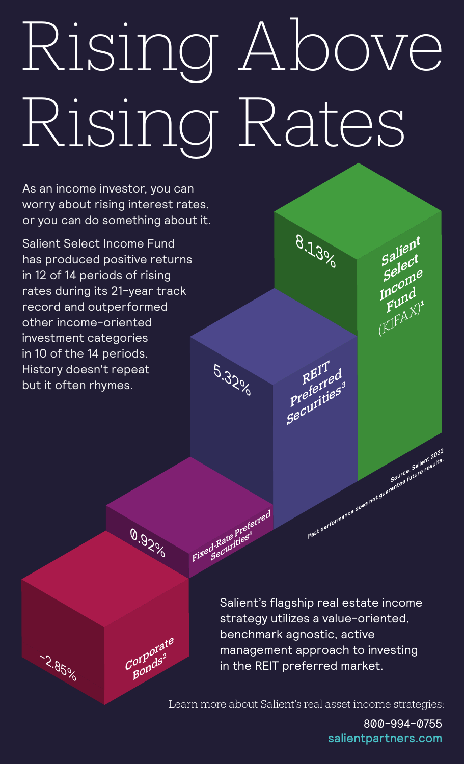## Rising Above Rising Rates

5.320%

Fixed-Rate Preferred

0.920

Corporate

Bonds2

-2.85%

As an income investor, you can worry about rising interest rates, or you can do something about it.

**Salient Select Income Fund** has produced positive returns in 12 of 14 periods of rising rates during its 21-year track record and outperformed other income-oriented investment categories in 10 of the 14 periods. History doesn't repeat but it often rhymes.

> Salient's flagship real estate income strategy utilizes a value-oriented, benchmark agnostic, active management approach to investing in the REIT preferred market.

8.13%

REIT

Preferred

Securities's

Salient

Select

Income

Fund

 $(KIFAX)$ 

Past performance does not guarantee future results.

Learn more about Salient's real asset income strategies:

800-994-0755 salientpartners.com